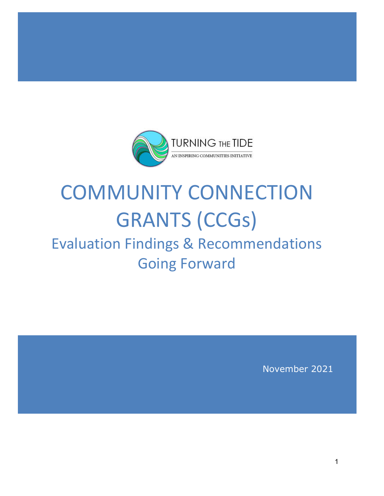

# COMMUNITY CONNECTION GRANTS (CCGs)

# Evaluation Findings & Recommendations Going Forward

November 2021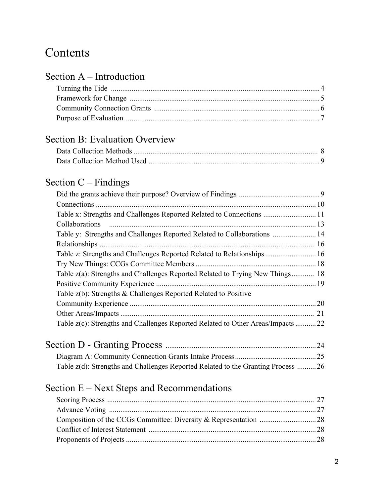## **Contents**

#### Section A – Introduction

## Section B: Evaluation Overview

## Section C – Findings

| Table y: Strengths and Challenges Reported Related to Collaborations  14         |
|----------------------------------------------------------------------------------|
|                                                                                  |
| Table z: Strengths and Challenges Reported Related to Relationships 16           |
|                                                                                  |
| Table z(a): Strengths and Challenges Reported Related to Trying New Things 18    |
|                                                                                  |
|                                                                                  |
|                                                                                  |
|                                                                                  |
| Table z(c): Strengths and Challenges Reported Related to Other Areas/Impacts  22 |
|                                                                                  |

| Table z(d): Strengths and Challenges Reported Related to the Granting Process  26 |  |
|-----------------------------------------------------------------------------------|--|

## Section E – Next Steps and Recommendations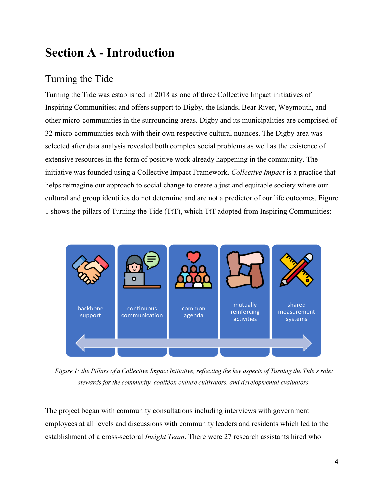## **Section A - Introduction**

## Turning the Tide

Turning the Tide was established in 2018 as one of three Collective Impact initiatives of Inspiring Communities; and offers support to Digby, the Islands, Bear River, Weymouth, and other micro-communities in the surrounding areas. Digby and its municipalities are comprised of 32 micro-communities each with their own respective cultural nuances. The Digby area was selected after data analysis revealed both complex social problems as well as the existence of extensive resources in the form of positive work already happening in the community. The initiative was founded using a Collective Impact Framework. *Collective Impact* is a practice that helps reimagine our approach to social change to create a just and equitable society where our cultural and group identities do not determine and are not a predictor of our life outcomes. Figure 1 shows the pillars of Turning the Tide (TtT), which TtT adopted from Inspiring Communities:



Figure 1: the Pillars of a Collective Impact Initiative, reflecting the key aspects of Turning the Tide's role: stewards for the community, coalition culture cultivators, and developmental evaluators.

The project began with community consultations including interviews with government employees at all levels and discussions with community leaders and residents which led to the establishment of a cross-sectoral *Insight Team*. There were 27 research assistants hired who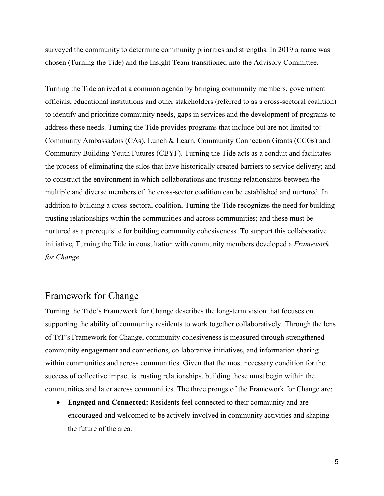surveyed the community to determine community priorities and strengths. In 2019 a name was chosen (Turning the Tide) and the Insight Team transitioned into the Advisory Committee.

Turning the Tide arrived at a common agenda by bringing community members, government officials, educational institutions and other stakeholders (referred to as a cross-sectoral coalition) to identify and prioritize community needs, gaps in services and the development of programs to address these needs. Turning the Tide provides programs that include but are not limited to: Community Ambassadors (CAs), Lunch & Learn, Community Connection Grants (CCGs) and Community Building Youth Futures (CBYF). Turning the Tide acts as a conduit and facilitates the process of eliminating the silos that have historically created barriers to service delivery; and to construct the environment in which collaborations and trusting relationships between the multiple and diverse members of the cross-sector coalition can be established and nurtured. In addition to building a cross-sectoral coalition, Turning the Tide recognizes the need for building trusting relationships within the communities and across communities; and these must be nurtured as a prerequisite for building community cohesiveness. To support this collaborative initiative, Turning the Tide in consultation with community members developed a *Framework for Change*.

#### Framework for Change

Turning the Tide's Framework for Change describes the long-term vision that focuses on supporting the ability of community residents to work together collaboratively. Through the lens of TtT's Framework for Change, community cohesiveness is measured through strengthened community engagement and connections, collaborative initiatives, and information sharing within communities and across communities. Given that the most necessary condition for the success of collective impact is trusting relationships, building these must begin within the communities and later across communities. The three prongs of the Framework for Change are:

• **Engaged and Connected:** Residents feel connected to their community and are encouraged and welcomed to be actively involved in community activities and shaping the future of the area.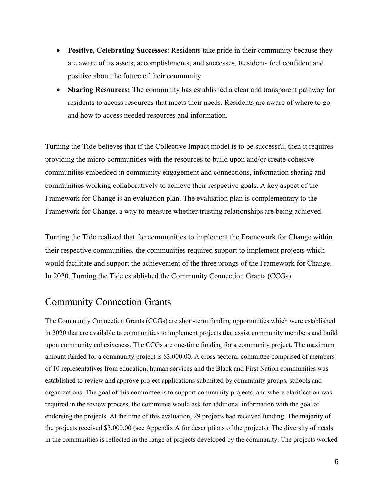- **Positive, Celebrating Successes:** Residents take pride in their community because they are aware of its assets, accomplishments, and successes. Residents feel confident and positive about the future of their community.
- **Sharing Resources:** The community has established a clear and transparent pathway for residents to access resources that meets their needs. Residents are aware of where to go and how to access needed resources and information.

Turning the Tide believes that if the Collective Impact model is to be successful then it requires providing the micro-communities with the resources to build upon and/or create cohesive communities embedded in community engagement and connections, information sharing and communities working collaboratively to achieve their respective goals. A key aspect of the Framework for Change is an evaluation plan. The evaluation plan is complementary to the Framework for Change. a way to measure whether trusting relationships are being achieved.

Turning the Tide realized that for communities to implement the Framework for Change within their respective communities, the communities required support to implement projects which would facilitate and support the achievement of the three prongs of the Framework for Change. In 2020, Turning the Tide established the Community Connection Grants (CCGs).

## Community Connection Grants

The Community Connection Grants (CCGs) are short-term funding opportunities which were established in 2020 that are available to communities to implement projects that assist community members and build upon community cohesiveness. The CCGs are one-time funding for a community project. The maximum amount funded for a community project is \$3,000.00. A cross-sectoral committee comprised of members of 10 representatives from education, human services and the Black and First Nation communities was established to review and approve project applications submitted by community groups, schools and organizations. The goal of this committee is to support community projects, and where clarification was required in the review process, the committee would ask for additional information with the goal of endorsing the projects. At the time of this evaluation, 29 projects had received funding. The majority of the projects received \$3,000.00 (see Appendix A for descriptions of the projects). The diversity of needs in the communities is reflected in the range of projects developed by the community. The projects worked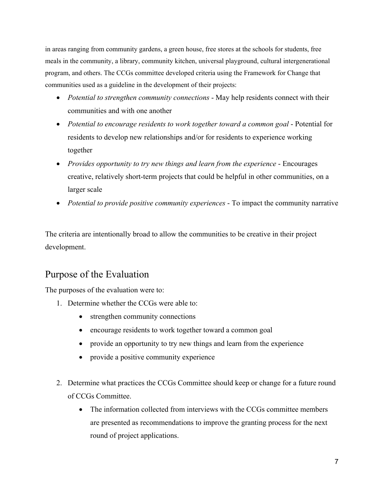in areas ranging from community gardens, a green house, free stores at the schools for students, free meals in the community, a library, community kitchen, universal playground, cultural intergenerational program, and others. The CCGs committee developed criteria using the Framework for Change that communities used as a guideline in the development of their projects:

- *Potential to strengthen community connections* May help residents connect with their communities and with one another
- *Potential to encourage residents to work together toward a common goal* Potential for residents to develop new relationships and/or for residents to experience working together
- *Provides opportunity to try new things and learn from the experience* Encourages creative, relatively short-term projects that could be helpful in other communities, on a larger scale
- *Potential to provide positive community experiences* To impact the community narrative

The criteria are intentionally broad to allow the communities to be creative in their project development.

### Purpose of the Evaluation

The purposes of the evaluation were to:

- 1. Determine whether the CCGs were able to:
	- strengthen community connections
	- encourage residents to work together toward a common goal
	- provide an opportunity to try new things and learn from the experience
	- provide a positive community experience
- 2. Determine what practices the CCGs Committee should keep or change for a future round of CCGs Committee.
	- The information collected from interviews with the CCGs committee members are presented as recommendations to improve the granting process for the next round of project applications.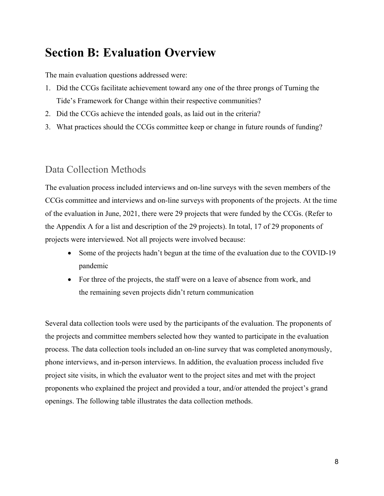## **Section B: Evaluation Overview**

The main evaluation questions addressed were:

- 1. Did the CCGs facilitate achievement toward any one of the three prongs of Turning the Tide's Framework for Change within their respective communities?
- 2. Did the CCGs achieve the intended goals, as laid out in the criteria?
- 3. What practices should the CCGs committee keep or change in future rounds of funding?

#### Data Collection Methods

The evaluation process included interviews and on-line surveys with the seven members of the CCGs committee and interviews and on-line surveys with proponents of the projects. At the time of the evaluation in June, 2021, there were 29 projects that were funded by the CCGs. (Refer to the Appendix A for a list and description of the 29 projects). In total, 17 of 29 proponents of projects were interviewed. Not all projects were involved because:

- Some of the projects hadn't begun at the time of the evaluation due to the COVID-19 pandemic
- For three of the projects, the staff were on a leave of absence from work, and the remaining seven projects didn't return communication

Several data collection tools were used by the participants of the evaluation. The proponents of the projects and committee members selected how they wanted to participate in the evaluation process. The data collection tools included an on-line survey that was completed anonymously, phone interviews, and in-person interviews. In addition, the evaluation process included five project site visits, in which the evaluator went to the project sites and met with the project proponents who explained the project and provided a tour, and/or attended the project's grand openings. The following table illustrates the data collection methods.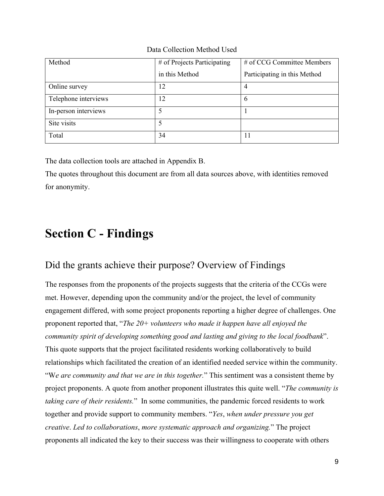Data Collection Method Used

| Method               | # of Projects Participating | # of CCG Committee Members   |
|----------------------|-----------------------------|------------------------------|
|                      | in this Method              | Participating in this Method |
| Online survey        | 12                          |                              |
| Telephone interviews | 12                          | $\mathfrak b$                |
| In-person interviews |                             |                              |
| Site visits          |                             |                              |
| Total                | 34                          | 11                           |

The data collection tools are attached in Appendix B.

The quotes throughout this document are from all data sources above, with identities removed for anonymity.

## **Section C - Findings**

#### Did the grants achieve their purpose? Overview of Findings

The responses from the proponents of the projects suggests that the criteria of the CCGs were met. However, depending upon the community and/or the project, the level of community engagement differed, with some project proponents reporting a higher degree of challenges. One proponent reported that, "*The 20+ volunteers who made it happen have all enjoyed the community spirit of developing something good and lasting and giving to the local foodbank*". This quote supports that the project facilitated residents working collaboratively to build relationships which facilitated the creation of an identified needed service within the community. "W*e are community and that we are in this together.*" This sentiment was a consistent theme by project proponents. A quote from another proponent illustrates this quite well. "*The community is taking care of their residents.*" In some communities, the pandemic forced residents to work together and provide support to community members. "*Yes*, *when under pressure you get creative*. *Led to collaborations*, *more systematic approach and organizing.*" The project proponents all indicated the key to their success was their willingness to cooperate with others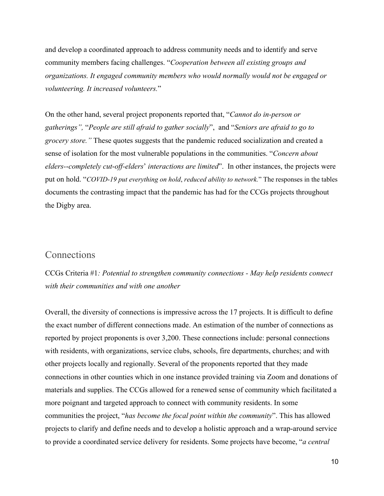and develop a coordinated approach to address community needs and to identify and serve community members facing challenges. "*Cooperation between all existing groups and organizations. It engaged community members who would normally would not be engaged or volunteering. It increased volunteers.*"

On the other hand, several project proponents reported that, "*Cannot do in-person or gatherings",* "*People are still afraid to gather socially*", and "*Seniors are afraid to go to grocery store."* These quotes suggests that the pandemic reduced socialization and created a sense of isolation for the most vulnerable populations in the communities. "*Concern about elders-*-*completely cut*-*off-elders*' *interactions are limited*". In other instances, the projects were put on hold. "*COVID*-*19 put everything on hold*, *reduced ability to network.*" The responses in the tables documents the contrasting impact that the pandemic has had for the CCGs projects throughout the Digby area.

#### **Connections**

CCGs Criteria #1*: Potential to strengthen community connections - May help residents connect with their communities and with one another*

Overall, the diversity of connections is impressive across the 17 projects. It is difficult to define the exact number of different connections made. An estimation of the number of connections as reported by project proponents is over 3,200. These connections include: personal connections with residents, with organizations, service clubs, schools, fire departments, churches; and with other projects locally and regionally. Several of the proponents reported that they made connections in other counties which in one instance provided training via Zoom and donations of materials and supplies. The CCGs allowed for a renewed sense of community which facilitated a more poignant and targeted approach to connect with community residents. In some communities the project, "*has become the focal point within the community*". This has allowed projects to clarify and define needs and to develop a holistic approach and a wrap-around service to provide a coordinated service delivery for residents. Some projects have become, "*a central*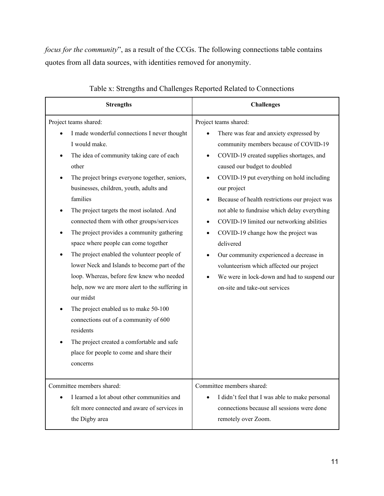*focus for the community*", as a result of the CCGs. The following connections table contains quotes from all data sources, with identities removed for anonymity.

| <b>Strengths</b>                                                                                                                                                                                                                                                                                                                                                                                                                                                                                                                                                                                                                                                                                                                                                                                                                                        | <b>Challenges</b>                                                                                                                                                                                                                                                                                                                                                                                                                                                                                                                                                                                                                            |
|---------------------------------------------------------------------------------------------------------------------------------------------------------------------------------------------------------------------------------------------------------------------------------------------------------------------------------------------------------------------------------------------------------------------------------------------------------------------------------------------------------------------------------------------------------------------------------------------------------------------------------------------------------------------------------------------------------------------------------------------------------------------------------------------------------------------------------------------------------|----------------------------------------------------------------------------------------------------------------------------------------------------------------------------------------------------------------------------------------------------------------------------------------------------------------------------------------------------------------------------------------------------------------------------------------------------------------------------------------------------------------------------------------------------------------------------------------------------------------------------------------------|
| Project teams shared:<br>I made wonderful connections I never thought<br>I would make.<br>The idea of community taking care of each<br>other<br>The project brings everyone together, seniors,<br>businesses, children, youth, adults and<br>families<br>The project targets the most isolated. And<br>connected them with other groups/services<br>The project provides a community gathering<br>space where people can come together<br>The project enabled the volunteer people of<br>lower Neck and Islands to become part of the<br>loop. Whereas, before few knew who needed<br>help, now we are more alert to the suffering in<br>our midst<br>The project enabled us to make 50-100<br>connections out of a community of 600<br>residents<br>The project created a comfortable and safe<br>place for people to come and share their<br>concerns | Project teams shared:<br>There was fear and anxiety expressed by<br>community members because of COVID-19<br>COVID-19 created supplies shortages, and<br>caused our budget to doubled<br>COVID-19 put everything on hold including<br>our project<br>Because of health restrictions our project was<br>not able to fundraise which delay everything<br>COVID-19 limited our networking abilities<br>$\bullet$<br>COVID-19 change how the project was<br>٠<br>delivered<br>Our community experienced a decrease in<br>volunteerism which affected our project<br>We were in lock-down and had to suspend our<br>on-site and take-out services |
| Committee members shared:<br>I learned a lot about other communities and<br>$\bullet$<br>felt more connected and aware of services in<br>the Digby area                                                                                                                                                                                                                                                                                                                                                                                                                                                                                                                                                                                                                                                                                                 | Committee members shared:<br>I didn't feel that I was able to make personal<br>connections because all sessions were done<br>remotely over Zoom.                                                                                                                                                                                                                                                                                                                                                                                                                                                                                             |

#### Table x: Strengths and Challenges Reported Related to Connections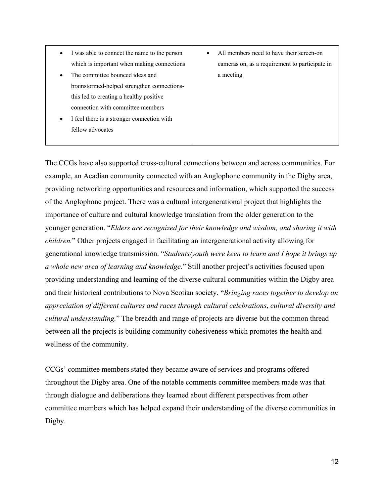- I was able to connect the name to the person which is important when making connections
- The committee bounced ideas and brainstormed-helped strengthen connectionsthis led to creating a healthy positive connection with committee members
- I feel there is a stronger connection with fellow advocates
- All members need to have their screen-on cameras on, as a requirement to participate in a meeting

The CCGs have also supported cross-cultural connections between and across communities. For example, an Acadian community connected with an Anglophone community in the Digby area, providing networking opportunities and resources and information, which supported the success of the Anglophone project. There was a cultural intergenerational project that highlights the importance of culture and cultural knowledge translation from the older generation to the younger generation. "*Elders are recognized for their knowledge and wisdom, and sharing it with children.*" Other projects engaged in facilitating an intergenerational activity allowing for generational knowledge transmission. "*Students/youth were keen to learn and I hope it brings up a whole new area of learning and knowledge.*" Still another project's activities focused upon providing understanding and learning of the diverse cultural communities within the Digby area and their historical contributions to Nova Scotian society. "*Bringing races together to develop an appreciation of different cultures and races through cultural celebrations*, *cultural diversity and cultural understanding.*" The breadth and range of projects are diverse but the common thread between all the projects is building community cohesiveness which promotes the health and wellness of the community.

CCGs' committee members stated they became aware of services and programs offered throughout the Digby area. One of the notable comments committee members made was that through dialogue and deliberations they learned about different perspectives from other committee members which has helped expand their understanding of the diverse communities in Digby.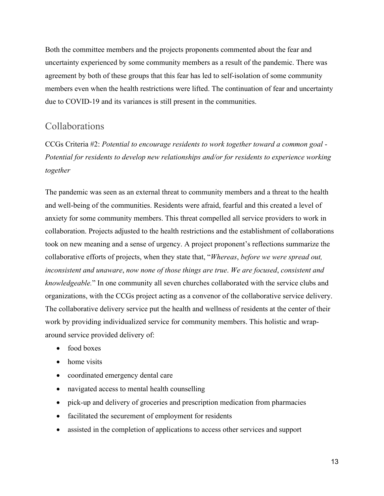Both the committee members and the projects proponents commented about the fear and uncertainty experienced by some community members as a result of the pandemic. There was agreement by both of these groups that this fear has led to self-isolation of some community members even when the health restrictions were lifted. The continuation of fear and uncertainty due to COVID-19 and its variances is still present in the communities.

#### Collaborations

CCGs Criteria #2: *Potential to encourage residents to work together toward a common goal* - *Potential for residents to develop new relationships and/or for residents to experience working together*

The pandemic was seen as an external threat to community members and a threat to the health and well-being of the communities. Residents were afraid, fearful and this created a level of anxiety for some community members. This threat compelled all service providers to work in collaboration. Projects adjusted to the health restrictions and the establishment of collaborations took on new meaning and a sense of urgency. A project proponent's reflections summarize the collaborative efforts of projects, when they state that, "*Whereas*, *before we were spread out, inconsistent and unaware*, *now none of those things are true*. *We are focused*, *consistent and knowledgeable.*" In one community all seven churches collaborated with the service clubs and organizations, with the CCGs project acting as a convenor of the collaborative service delivery. The collaborative delivery service put the health and wellness of residents at the center of their work by providing individualized service for community members. This holistic and wraparound service provided delivery of:

- food boxes
- home visits
- coordinated emergency dental care
- navigated access to mental health counselling
- pick-up and delivery of groceries and prescription medication from pharmacies
- facilitated the securement of employment for residents
- assisted in the completion of applications to access other services and support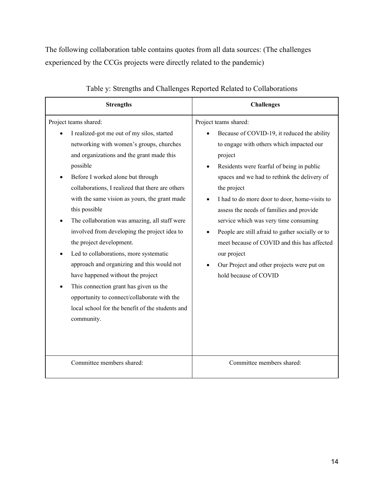The following collaboration table contains quotes from all data sources: (The challenges experienced by the CCGs projects were directly related to the pandemic)

| <b>Strengths</b>                                                                                                                                                                                                                                                                                                                                                                                                                                                                                                                                                                                                                                                                                                                                         | <b>Challenges</b>                                                                                                                                                                                                                                                                                                                                                                                                                                                                                                                                                      |
|----------------------------------------------------------------------------------------------------------------------------------------------------------------------------------------------------------------------------------------------------------------------------------------------------------------------------------------------------------------------------------------------------------------------------------------------------------------------------------------------------------------------------------------------------------------------------------------------------------------------------------------------------------------------------------------------------------------------------------------------------------|------------------------------------------------------------------------------------------------------------------------------------------------------------------------------------------------------------------------------------------------------------------------------------------------------------------------------------------------------------------------------------------------------------------------------------------------------------------------------------------------------------------------------------------------------------------------|
| Project teams shared:<br>I realized-got me out of my silos, started<br>networking with women's groups, churches<br>and organizations and the grant made this<br>possible<br>Before I worked alone but through<br>collaborations, I realized that there are others<br>with the same vision as yours, the grant made<br>this possible<br>The collaboration was amazing, all staff were<br>involved from developing the project idea to<br>the project development.<br>Led to collaborations, more systematic<br>approach and organizing and this would not<br>have happened without the project<br>This connection grant has given us the<br>opportunity to connect/collaborate with the<br>local school for the benefit of the students and<br>community. | Project teams shared:<br>Because of COVID-19, it reduced the ability<br>to engage with others which impacted our<br>project<br>Residents were fearful of being in public<br>spaces and we had to rethink the delivery of<br>the project<br>I had to do more door to door, home-visits to<br>assess the needs of families and provide<br>service which was very time consuming<br>People are still afraid to gather socially or to<br>meet because of COVID and this has affected<br>our project<br>Our Project and other projects were put on<br>hold because of COVID |
| Committee members shared:                                                                                                                                                                                                                                                                                                                                                                                                                                                                                                                                                                                                                                                                                                                                | Committee members shared:                                                                                                                                                                                                                                                                                                                                                                                                                                                                                                                                              |

#### Table y: Strengths and Challenges Reported Related to Collaborations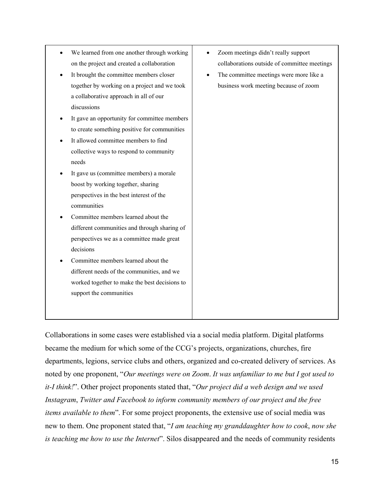| We learned from one another through working<br>on the project and created a collaboration<br>It brought the committee members closer<br>together by working on a project and we took<br>a collaborative approach in all of our<br>discussions<br>It gave an opportunity for committee members<br>to create something positive for communities<br>It allowed committee members to find<br>collective ways to respond to community<br>needs<br>It gave us (committee members) a morale<br>boost by working together, sharing<br>perspectives in the best interest of the<br>communities<br>Committee members learned about the<br>different communities and through sharing of<br>perspectives we as a committee made great<br>decisions<br>Committee members learned about the<br>different needs of the communities, and we<br>worked together to make the best decisions to<br>support the communities | Zoom meetings didn't really support<br>collaborations outside of committee meetings<br>The committee meetings were more like a<br>business work meeting because of zoom |
|---------------------------------------------------------------------------------------------------------------------------------------------------------------------------------------------------------------------------------------------------------------------------------------------------------------------------------------------------------------------------------------------------------------------------------------------------------------------------------------------------------------------------------------------------------------------------------------------------------------------------------------------------------------------------------------------------------------------------------------------------------------------------------------------------------------------------------------------------------------------------------------------------------|-------------------------------------------------------------------------------------------------------------------------------------------------------------------------|
|                                                                                                                                                                                                                                                                                                                                                                                                                                                                                                                                                                                                                                                                                                                                                                                                                                                                                                         |                                                                                                                                                                         |

Collaborations in some cases were established via a social media platform. Digital platforms became the medium for which some of the CCG's projects, organizations, churches, fire departments, legions, service clubs and others, organized and co-created delivery of services. As noted by one proponent, "*Our meetings were on Zoom*. *It was unfamiliar to me but I got used to it-I think!*". Other project proponents stated that, "*Our project did a web design and we used Instagram*, *Twitter and Facebook to inform community members of our project and the free items available to them*". For some project proponents, the extensive use of social media was new to them. One proponent stated that, "*I am teaching my granddaughter how to cook*, *now she is teaching me how to use the Internet*". Silos disappeared and the needs of community residents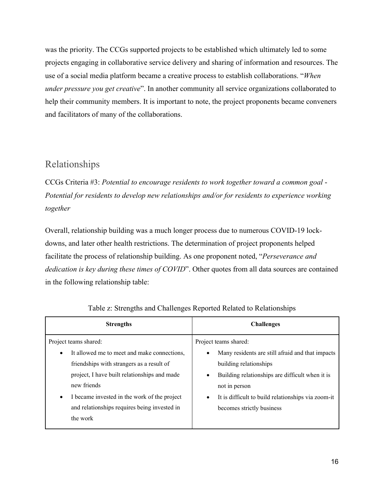was the priority. The CCGs supported projects to be established which ultimately led to some projects engaging in collaborative service delivery and sharing of information and resources. The use of a social media platform became a creative process to establish collaborations. "*When under pressure you get creative*". In another community all service organizations collaborated to help their community members. It is important to note, the project proponents became conveners and facilitators of many of the collaborations.

#### Relationships

CCGs Criteria #3: *Potential to encourage residents to work together toward a common goal* - *Potential for residents to develop new relationships and/or for residents to experience working together* 

Overall, relationship building was a much longer process due to numerous COVID-19 lockdowns, and later other health restrictions. The determination of project proponents helped facilitate the process of relationship building. As one proponent noted, "*Perseverance and dedication is key during these times of COVID*". Other quotes from all data sources are contained in the following relationship table:

| <b>Strengths</b>                                                                                                                                                                                                                                                                                                       | <b>Challenges</b>                                                                                                                                                                                                                                                                    |
|------------------------------------------------------------------------------------------------------------------------------------------------------------------------------------------------------------------------------------------------------------------------------------------------------------------------|--------------------------------------------------------------------------------------------------------------------------------------------------------------------------------------------------------------------------------------------------------------------------------------|
| Project teams shared:<br>It allowed me to meet and make connections,<br>$\bullet$<br>friendships with strangers as a result of<br>project, I have built relationships and made<br>new friends<br>I became invested in the work of the project<br>$\bullet$<br>and relationships requires being invested in<br>the work | Project teams shared:<br>Many residents are still afraid and that impacts<br>$\bullet$<br>building relationships<br>Building relationships are difficult when it is<br>not in person<br>It is difficult to build relationships via zoom-it<br>$\bullet$<br>becomes strictly business |
|                                                                                                                                                                                                                                                                                                                        |                                                                                                                                                                                                                                                                                      |

Table z: Strengths and Challenges Reported Related to Relationships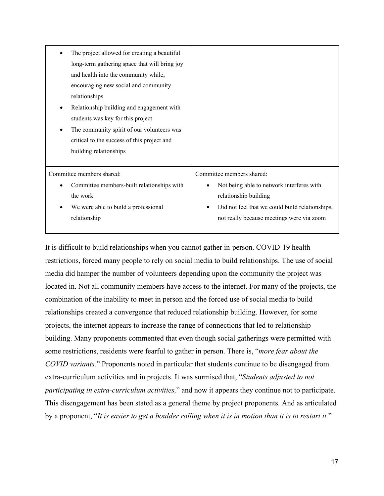| The project allowed for creating a beautiful<br>long-term gathering space that will bring joy<br>and health into the community while,<br>encouraging new social and community<br>relationships<br>Relationship building and engagement with<br>students was key for this project<br>The community spirit of our volunteers was<br>critical to the success of this project and<br>building relationships |                                                 |
|---------------------------------------------------------------------------------------------------------------------------------------------------------------------------------------------------------------------------------------------------------------------------------------------------------------------------------------------------------------------------------------------------------|-------------------------------------------------|
| Committee members shared:                                                                                                                                                                                                                                                                                                                                                                               | Committee members shared:                       |
| Committee members-built relationships with                                                                                                                                                                                                                                                                                                                                                              | Not being able to network interferes with       |
| the work                                                                                                                                                                                                                                                                                                                                                                                                | relationship building                           |
| We were able to build a professional                                                                                                                                                                                                                                                                                                                                                                    | Did not feel that we could build relationships, |
| relationship                                                                                                                                                                                                                                                                                                                                                                                            | not really because meetings were via zoom       |

It is difficult to build relationships when you cannot gather in-person. COVID-19 health restrictions, forced many people to rely on social media to build relationships. The use of social media did hamper the number of volunteers depending upon the community the project was located in. Not all community members have access to the internet. For many of the projects, the combination of the inability to meet in person and the forced use of social media to build relationships created a convergence that reduced relationship building. However, for some projects, the internet appears to increase the range of connections that led to relationship building. Many proponents commented that even though social gatherings were permitted with some restrictions, residents were fearful to gather in person. There is, "*more fear about the COVID variants.*" Proponents noted in particular that students continue to be disengaged from extra-curriculum activities and in projects. It was surmised that, "*Students adjusted to not participating in extra-curriculum activities,*" and now it appears they continue not to participate. This disengagement has been stated as a general theme by project proponents. And as articulated by a proponent, "*It is easier to get a boulder rolling when it is in motion than it is to restart it.*"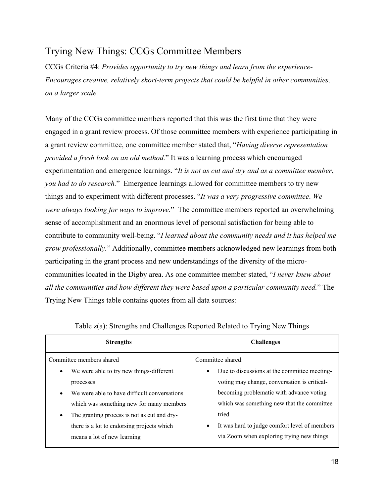## Trying New Things: CCGs Committee Members

CCGs Criteria #4: *Provides opportunity to try new things and learn from the experience-Encourages creative, relatively short-term projects that could be helpful in other communities, on a larger scale*

Many of the CCGs committee members reported that this was the first time that they were engaged in a grant review process. Of those committee members with experience participating in a grant review committee, one committee member stated that, "*Having diverse representation provided a fresh look on an old method.*" It was a learning process which encouraged experimentation and emergence learnings. "*It is not as cut and dry and as a committee member*, *you had to do research.*" Emergence learnings allowed for committee members to try new things and to experiment with different processes. "*It was a very progressive committee*. *We were always looking for ways to improve.*" The committee members reported an overwhelming sense of accomplishment and an enormous level of personal satisfaction for being able to contribute to community well-being. "*I learned about the community needs and it has helped me grow professionally.*" Additionally, committee members acknowledged new learnings from both participating in the grant process and new understandings of the diversity of the microcommunities located in the Digby area. As one committee member stated, "*I never knew about all the communities and how different they were based upon a particular community need.*" The Trying New Things table contains quotes from all data sources:

| <b>Strengths</b>                             | <b>Challenges</b>                                          |  |  |
|----------------------------------------------|------------------------------------------------------------|--|--|
| Committee members shared                     | Committee shared:                                          |  |  |
| We were able to try new things-different     | Due to discussions at the committee meeting-<br>$\bullet$  |  |  |
| processes                                    | voting may change, conversation is critical-               |  |  |
| We were able to have difficult conversations | becoming problematic with advance voting                   |  |  |
| which was something new for many members     | which was something new that the committee                 |  |  |
| The granting process is not as cut and dry-  | tried                                                      |  |  |
| there is a lot to endorsing projects which   | It was hard to judge comfort level of members<br>$\bullet$ |  |  |
| means a lot of new learning                  | via Zoom when exploring trying new things                  |  |  |

|  | Table z(a): Strengths and Challenges Reported Related to Trying New Things |  |
|--|----------------------------------------------------------------------------|--|
|  |                                                                            |  |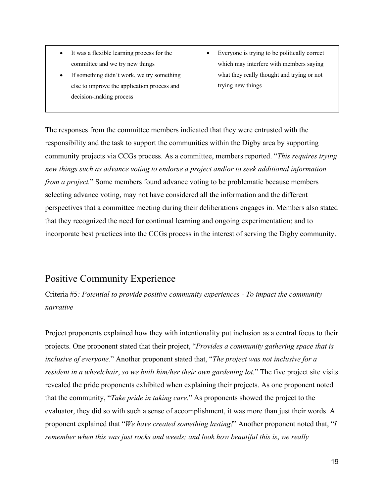- It was a flexible learning process for the committee and we try new things
- If something didn't work, we try something else to improve the application process and decision-making process
- Everyone is trying to be politically correct which may interfere with members saying what they really thought and trying or not trying new things

The responses from the committee members indicated that they were entrusted with the responsibility and the task to support the communities within the Digby area by supporting community projects via CCGs process. As a committee, members reported. "*This requires trying new things such as advance voting to endorse a project and*/*or to seek additional information from a project.*" Some members found advance voting to be problematic because members selecting advance voting, may not have considered all the information and the different perspectives that a committee meeting during their deliberations engages in. Members also stated that they recognized the need for continual learning and ongoing experimentation; and to incorporate best practices into the CCGs process in the interest of serving the Digby community.

### Positive Community Experience

Criteria #5*: Potential to provide positive community experiences - To impact the community narrative*

Project proponents explained how they with intentionality put inclusion as a central focus to their projects. One proponent stated that their project, "*Provides a community gathering space that is inclusive of everyone.*" Another proponent stated that, "*The project was not inclusive for a resident in a wheelchair*, *so we built him/her their own gardening lot.*" The five project site visits revealed the pride proponents exhibited when explaining their projects. As one proponent noted that the community, "*Take pride in taking care.*" As proponents showed the project to the evaluator, they did so with such a sense of accomplishment, it was more than just their words. A proponent explained that "*We have created something lasting!*" Another proponent noted that, "*I remember when this was just rocks and weeds; and look how beautiful this is*, *we really*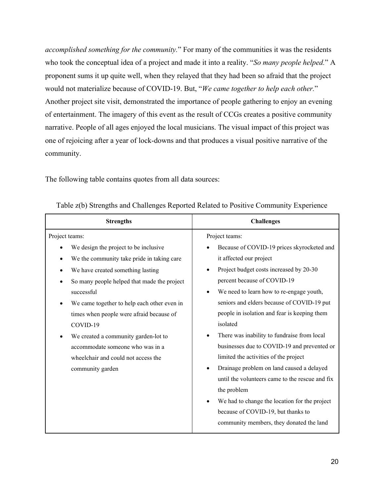*accomplished something for the community.*" For many of the communities it was the residents who took the conceptual idea of a project and made it into a reality. "*So many people helped.*" A proponent sums it up quite well, when they relayed that they had been so afraid that the project would not materialize because of COVID-19. But, "*We came together to help each other.*" Another project site visit, demonstrated the importance of people gathering to enjoy an evening of entertainment. The imagery of this event as the result of CCGs creates a positive community narrative. People of all ages enjoyed the local musicians. The visual impact of this project was one of rejoicing after a year of lock-downs and that produces a visual positive narrative of the community.

The following table contains quotes from all data sources:

| <b>Strengths</b>                                                                                                                                                                                                                                                                                                                                                                                                                                      | <b>Challenges</b>                                                                                                                                                                                                                                                                                                                                                                                                                                                                                                                                                                                                                                                                                                                          |  |  |
|-------------------------------------------------------------------------------------------------------------------------------------------------------------------------------------------------------------------------------------------------------------------------------------------------------------------------------------------------------------------------------------------------------------------------------------------------------|--------------------------------------------------------------------------------------------------------------------------------------------------------------------------------------------------------------------------------------------------------------------------------------------------------------------------------------------------------------------------------------------------------------------------------------------------------------------------------------------------------------------------------------------------------------------------------------------------------------------------------------------------------------------------------------------------------------------------------------------|--|--|
| Project teams:<br>We design the project to be inclusive<br>We the community take pride in taking care<br>We have created something lasting<br>So many people helped that made the project<br>successful<br>We came together to help each other even in<br>times when people were afraid because of<br>COVID-19<br>We created a community garden-lot to<br>accommodate someone who was in a<br>wheelchair and could not access the<br>community garden | Project teams:<br>Because of COVID-19 prices skyrocketed and<br>it affected our project<br>Project budget costs increased by 20-30<br>percent because of COVID-19<br>We need to learn how to re-engage youth,<br>$\bullet$<br>seniors and elders because of COVID-19 put<br>people in isolation and fear is keeping them<br>isolated<br>There was inability to fundraise from local<br>businesses due to COVID-19 and prevented or<br>limited the activities of the project<br>Drainage problem on land caused a delayed<br>$\bullet$<br>until the volunteers came to the rescue and fix<br>the problem<br>We had to change the location for the project<br>because of COVID-19, but thanks to<br>community members, they donated the land |  |  |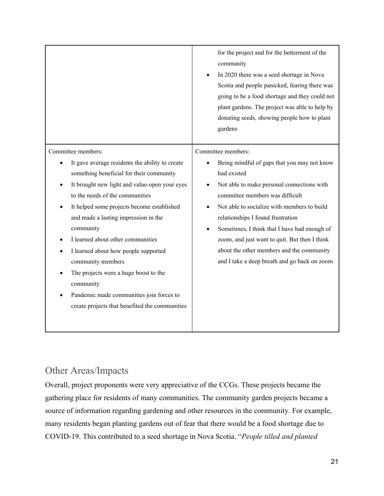|                                                                                                                                                                                                                                                                                                                                                                                                                                                                                                                                                                | for the project and for the betterment of the<br>community<br>In 2020 there was a seed shortage in Nova<br>Scotia and people panicked, fearing there was<br>going to be a food shortage and they could not<br>plant gardens. The project was able to help by<br>donating seeds, showing people how to plant<br>gardens                                                                                                                              |
|----------------------------------------------------------------------------------------------------------------------------------------------------------------------------------------------------------------------------------------------------------------------------------------------------------------------------------------------------------------------------------------------------------------------------------------------------------------------------------------------------------------------------------------------------------------|-----------------------------------------------------------------------------------------------------------------------------------------------------------------------------------------------------------------------------------------------------------------------------------------------------------------------------------------------------------------------------------------------------------------------------------------------------|
| Committee members:<br>It gave average residents the ability to create<br>something beneficial for their community<br>It brought new light and value-open your eyes<br>to the needs of the communities<br>It helped some projects become established<br>and made a lasting impression in the<br>community<br>I learned about other communities<br>I learned about how people supported<br>community members<br>The projects were a huge boost to the<br>community<br>Pandemic made communities join forces to<br>create projects that benefited the communities | Committee members:<br>Being mindful of gaps that you may not know<br>had existed<br>Not able to make personal connections with<br>committee members was difficult<br>Not able to socialize with members to build<br>relationships I found frustration<br>Sometimes, I think that I have had enough of<br>zoom, and just want to quit. But then I think<br>about the other members and the community<br>and I take a deep breath and go back on zoom |

### Other Areas/Impacts

Overall, project proponents were very appreciative of the CCGs. These projects became the gathering place for residents of many communities. The community garden projects became a source of information regarding gardening and other resources in the community. For example, many residents began planting gardens out of fear that there would be a food shortage due to COVID-19. This contributed to a seed shortage in Nova Scotia. "*People tilled and planted*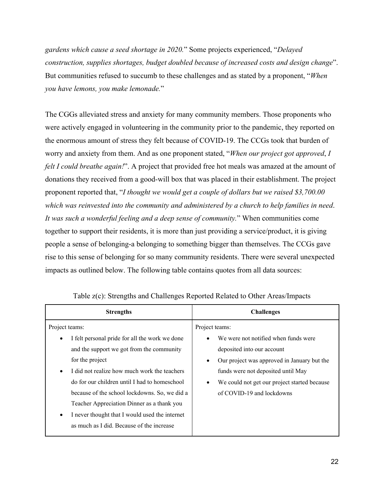*gardens which cause a seed shortage in 2020.*" Some projects experienced, "*Delayed construction, supplies shortages, budget doubled because of increased costs and design change*". But communities refused to succumb to these challenges and as stated by a proponent, "*When you have lemons, you make lemonade.*"

The CGGs alleviated stress and anxiety for many community members. Those proponents who were actively engaged in volunteering in the community prior to the pandemic, they reported on the enormous amount of stress they felt because of COVID-19. The CCGs took that burden of worry and anxiety from them. And as one proponent stated, "*When our project got approved*, *I felt I could breathe again!*". A project that provided free hot meals was amazed at the amount of donations they received from a good-will box that was placed in their establishment. The project proponent reported that, "*I thought we would get a couple of dollars but we raised \$3,700.00 which was reinvested into the community and administered by a church to help families in need*. *It was such a wonderful feeling and a deep sense of community.*" When communities come together to support their residents, it is more than just providing a service/product, it is giving people a sense of belonging-a belonging to something bigger than themselves. The CCGs gave rise to this sense of belonging for so many community residents. There were several unexpected impacts as outlined below. The following table contains quotes from all data sources:

| <b>Strengths</b>                                            | <b>Challenges</b>                                |  |  |  |
|-------------------------------------------------------------|--------------------------------------------------|--|--|--|
| Project teams:                                              | Project teams:                                   |  |  |  |
| I felt personal pride for all the work we done<br>$\bullet$ | We were not notified when funds were             |  |  |  |
| and the support we got from the community                   | deposited into our account                       |  |  |  |
| for the project                                             | Our project was approved in January but the<br>٠ |  |  |  |
| I did not realize how much work the teachers<br>$\bullet$   | funds were not deposited until May               |  |  |  |
| do for our children until I had to homeschool               | We could not get our project started because     |  |  |  |
| because of the school lockdowns. So, we did a               | of COVID-19 and lockdowns                        |  |  |  |
| Teacher Appreciation Dinner as a thank you                  |                                                  |  |  |  |
| I never thought that I would used the internet<br>$\bullet$ |                                                  |  |  |  |
| as much as I did. Because of the increase                   |                                                  |  |  |  |
|                                                             |                                                  |  |  |  |

Table z(c): Strengths and Challenges Reported Related to Other Areas/Impacts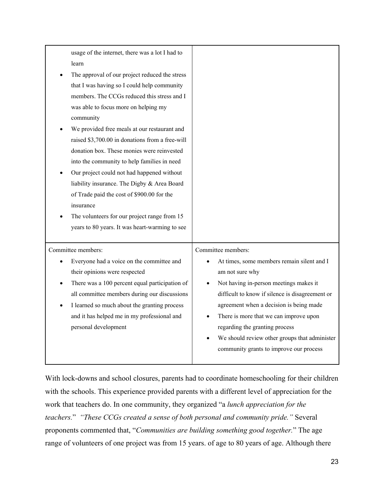| usage of the internet, there was a lot I had to<br>learn<br>The approval of our project reduced the stress<br>that I was having so I could help community<br>members. The CCGs reduced this stress and I<br>was able to focus more on helping my<br>community<br>We provided free meals at our restaurant and<br>raised \$3,700.00 in donations from a free-will<br>donation box. These monies were reinvested<br>into the community to help families in need<br>Our project could not had happened without<br>liability insurance. The Digby & Area Board<br>of Trade paid the cost of \$900.00 for the<br>insurance<br>The volunteers for our project range from 15<br>years to 80 years. It was heart-warming to see |                                                                                                                                                                                                                                                                                                                                                                                                     |
|-------------------------------------------------------------------------------------------------------------------------------------------------------------------------------------------------------------------------------------------------------------------------------------------------------------------------------------------------------------------------------------------------------------------------------------------------------------------------------------------------------------------------------------------------------------------------------------------------------------------------------------------------------------------------------------------------------------------------|-----------------------------------------------------------------------------------------------------------------------------------------------------------------------------------------------------------------------------------------------------------------------------------------------------------------------------------------------------------------------------------------------------|
| Committee members:<br>Everyone had a voice on the committee and<br>their opinions were respected<br>There was a 100 percent equal participation of<br>all committee members during our discussions<br>I learned so much about the granting process<br>and it has helped me in my professional and<br>personal development                                                                                                                                                                                                                                                                                                                                                                                               | Committee members:<br>At times, some members remain silent and I<br>am not sure why<br>Not having in-person meetings makes it<br>difficult to know if silence is disagreement or<br>agreement when a decision is being made<br>There is more that we can improve upon<br>regarding the granting process<br>We should review other groups that administer<br>community grants to improve our process |

With lock-downs and school closures, parents had to coordinate homeschooling for their children with the schools. This experience provided parents with a different level of appreciation for the work that teachers do. In one community, they organized "a *lunch appreciation for the teachers.*" *"These CCGs created a sense of both personal and community pride."* Several proponents commented that, "*Communities are building something good together.*" The age range of volunteers of one project was from 15 years. of age to 80 years of age. Although there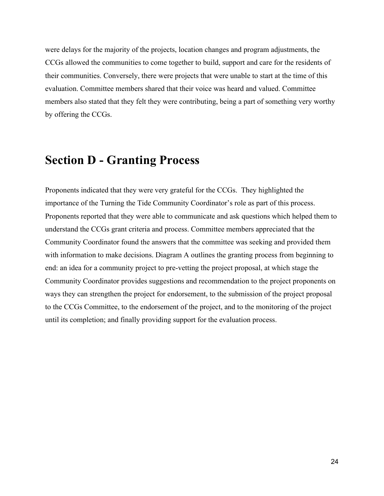were delays for the majority of the projects, location changes and program adjustments, the CCGs allowed the communities to come together to build, support and care for the residents of their communities. Conversely, there were projects that were unable to start at the time of this evaluation. Committee members shared that their voice was heard and valued. Committee members also stated that they felt they were contributing, being a part of something very worthy by offering the CCGs.

## **Section D - Granting Process**

Proponents indicated that they were very grateful for the CCGs. They highlighted the importance of the Turning the Tide Community Coordinator's role as part of this process. Proponents reported that they were able to communicate and ask questions which helped them to understand the CCGs grant criteria and process. Committee members appreciated that the Community Coordinator found the answers that the committee was seeking and provided them with information to make decisions. Diagram A outlines the granting process from beginning to end: an idea for a community project to pre-vetting the project proposal, at which stage the Community Coordinator provides suggestions and recommendation to the project proponents on ways they can strengthen the project for endorsement, to the submission of the project proposal to the CCGs Committee, to the endorsement of the project, and to the monitoring of the project until its completion; and finally providing support for the evaluation process.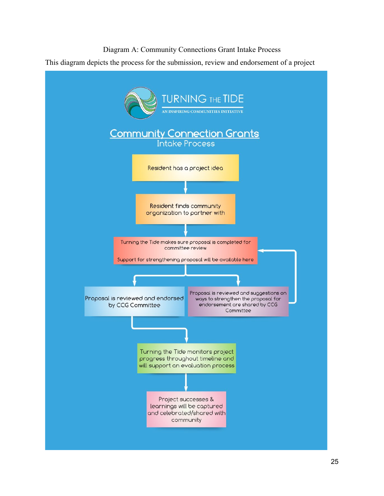#### Diagram A: Community Connections Grant Intake Process

This diagram depicts the process for the submission, review and endorsement of a project

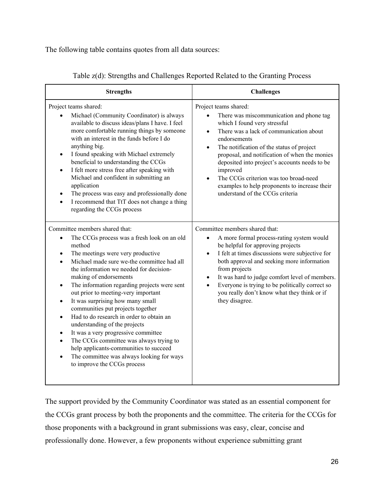The following table contains quotes from all data sources:

| <b>Strengths</b>                                                                                                                                                                                                                                                                                                                                                                                                                                                                                                                                                                                                                                                                                                                            | <b>Challenges</b>                                                                                                                                                                                                                                                                                                                                                                                                                                                              |  |  |  |
|---------------------------------------------------------------------------------------------------------------------------------------------------------------------------------------------------------------------------------------------------------------------------------------------------------------------------------------------------------------------------------------------------------------------------------------------------------------------------------------------------------------------------------------------------------------------------------------------------------------------------------------------------------------------------------------------------------------------------------------------|--------------------------------------------------------------------------------------------------------------------------------------------------------------------------------------------------------------------------------------------------------------------------------------------------------------------------------------------------------------------------------------------------------------------------------------------------------------------------------|--|--|--|
| Project teams shared:<br>Michael (Community Coordinator) is always<br>available to discuss ideas/plans I have. I feel<br>more comfortable running things by someone<br>with an interest in the funds before I do<br>anything big.<br>I found speaking with Michael extremely<br>$\bullet$<br>beneficial to understanding the CCGs<br>I felt more stress free after speaking with<br>Michael and confident in submitting an<br>application<br>The process was easy and professionally done<br>I recommend that TtT does not change a thing<br>regarding the CCGs process                                                                                                                                                                     | Project teams shared:<br>There was miscommunication and phone tag<br>which I found very stressful<br>There was a lack of communication about<br>$\bullet$<br>endorsements<br>The notification of the status of project<br>$\bullet$<br>proposal, and notification of when the monies<br>deposited into project's accounts needs to be<br>improved<br>The CCGs criterion was too broad-need<br>examples to help proponents to increase their<br>understand of the CCGs criteria |  |  |  |
| Committee members shared that:<br>The CCGs process was a fresh look on an old<br>$\bullet$<br>method<br>The meetings were very productive<br>Michael made sure we-the committee had all<br>the information we needed for decision-<br>making of endorsements<br>The information regarding projects were sent<br>out prior to meeting-very important<br>It was surprising how many small<br>communities put projects together<br>Had to do research in order to obtain an<br>$\bullet$<br>understanding of the projects<br>It was a very progressive committee<br>$\bullet$<br>The CCGs committee was always trying to<br>help applicants-communities to succeed<br>The committee was always looking for ways<br>to improve the CCGs process | Committee members shared that:<br>A more formal process-rating system would<br>be helpful for approving projects<br>I felt at times discussions were subjective for<br>$\bullet$<br>both approval and seeking more information<br>from projects<br>It was hard to judge comfort level of members.<br>$\bullet$<br>Everyone is trying to be politically correct so<br>$\bullet$<br>you really don't know what they think or if<br>they disagree.                                |  |  |  |

Table z(d): Strengths and Challenges Reported Related to the Granting Process

The support provided by the Community Coordinator was stated as an essential component for the CCGs grant process by both the proponents and the committee. The criteria for the CCGs for those proponents with a background in grant submissions was easy, clear, concise and professionally done. However, a few proponents without experience submitting grant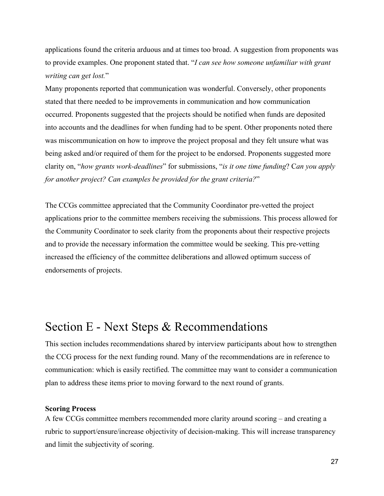applications found the criteria arduous and at times too broad. A suggestion from proponents was to provide examples. One proponent stated that. "*I can see how someone unfamiliar with grant writing can get lost.*"

Many proponents reported that communication was wonderful. Conversely, other proponents stated that there needed to be improvements in communication and how communication occurred. Proponents suggested that the projects should be notified when funds are deposited into accounts and the deadlines for when funding had to be spent. Other proponents noted there was miscommunication on how to improve the project proposal and they felt unsure what was being asked and/or required of them for the project to be endorsed. Proponents suggested more clarity on, "*how grants work-deadlines*" for submissions, "*is it one time funding*? C*an you apply for another project? Can examples be provided for the grant criteria?*"

The CCGs committee appreciated that the Community Coordinator pre-vetted the project applications prior to the committee members receiving the submissions. This process allowed for the Community Coordinator to seek clarity from the proponents about their respective projects and to provide the necessary information the committee would be seeking. This pre-vetting increased the efficiency of the committee deliberations and allowed optimum success of endorsements of projects.

## Section E - Next Steps & Recommendations

This section includes recommendations shared by interview participants about how to strengthen the CCG process for the next funding round. Many of the recommendations are in reference to communication: which is easily rectified. The committee may want to consider a communication plan to address these items prior to moving forward to the next round of grants.

#### **Scoring Process**

A few CCGs committee members recommended more clarity around scoring – and creating a rubric to support/ensure/increase objectivity of decision-making. This will increase transparency and limit the subjectivity of scoring.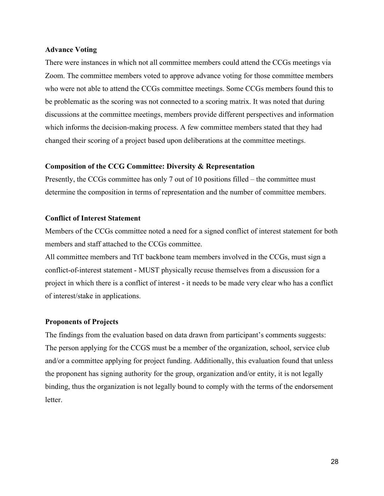#### **Advance Voting**

There were instances in which not all committee members could attend the CCGs meetings via Zoom. The committee members voted to approve advance voting for those committee members who were not able to attend the CCGs committee meetings. Some CCGs members found this to be problematic as the scoring was not connected to a scoring matrix. It was noted that during discussions at the committee meetings, members provide different perspectives and information which informs the decision-making process. A few committee members stated that they had changed their scoring of a project based upon deliberations at the committee meetings.

#### **Composition of the CCG Committee: Diversity & Representation**

Presently, the CCGs committee has only 7 out of 10 positions filled – the committee must determine the composition in terms of representation and the number of committee members.

#### **Conflict of Interest Statement**

Members of the CCGs committee noted a need for a signed conflict of interest statement for both members and staff attached to the CCGs committee.

All committee members and TtT backbone team members involved in the CCGs, must sign a conflict-of-interest statement - MUST physically recuse themselves from a discussion for a project in which there is a conflict of interest - it needs to be made very clear who has a conflict of interest/stake in applications.

#### **Proponents of Projects**

The findings from the evaluation based on data drawn from participant's comments suggests: The person applying for the CCGS must be a member of the organization, school, service club and/or a committee applying for project funding. Additionally, this evaluation found that unless the proponent has signing authority for the group, organization and/or entity, it is not legally binding, thus the organization is not legally bound to comply with the terms of the endorsement letter.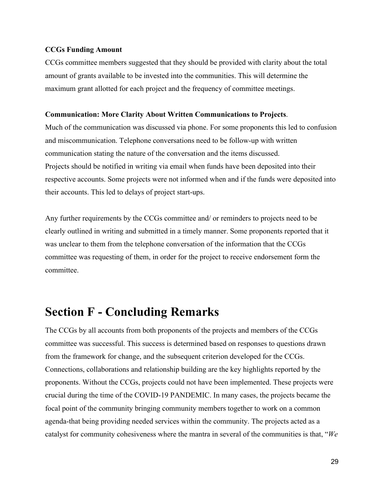#### **CCGs Funding Amount**

CCGs committee members suggested that they should be provided with clarity about the total amount of grants available to be invested into the communities. This will determine the maximum grant allotted for each project and the frequency of committee meetings.

#### **Communication: More Clarity About Written Communications to Projects**.

Much of the communication was discussed via phone. For some proponents this led to confusion and miscommunication. Telephone conversations need to be follow-up with written communication stating the nature of the conversation and the items discussed. Projects should be notified in writing via email when funds have been deposited into their respective accounts. Some projects were not informed when and if the funds were deposited into their accounts. This led to delays of project start-ups.

Any further requirements by the CCGs committee and/ or reminders to projects need to be clearly outlined in writing and submitted in a timely manner. Some proponents reported that it was unclear to them from the telephone conversation of the information that the CCGs committee was requesting of them, in order for the project to receive endorsement form the committee.

## **Section F - Concluding Remarks**

The CCGs by all accounts from both proponents of the projects and members of the CCGs committee was successful. This success is determined based on responses to questions drawn from the framework for change, and the subsequent criterion developed for the CCGs. Connections, collaborations and relationship building are the key highlights reported by the proponents. Without the CCGs, projects could not have been implemented. These projects were crucial during the time of the COVID-19 PANDEMIC. In many cases, the projects became the focal point of the community bringing community members together to work on a common agenda-that being providing needed services within the community. The projects acted as a catalyst for community cohesiveness where the mantra in several of the communities is that, "*We*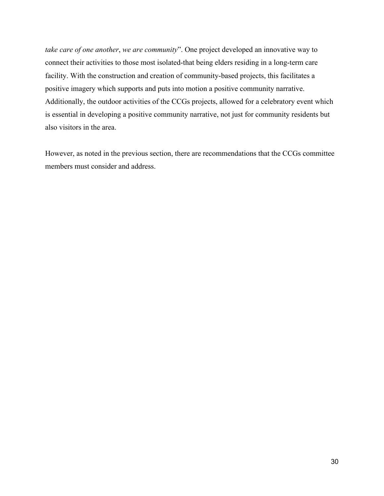*take care of one another*, *we are community*". One project developed an innovative way to connect their activities to those most isolated-that being elders residing in a long-term care facility. With the construction and creation of community-based projects, this facilitates a positive imagery which supports and puts into motion a positive community narrative. Additionally, the outdoor activities of the CCGs projects, allowed for a celebratory event which is essential in developing a positive community narrative, not just for community residents but also visitors in the area.

However, as noted in the previous section, there are recommendations that the CCGs committee members must consider and address.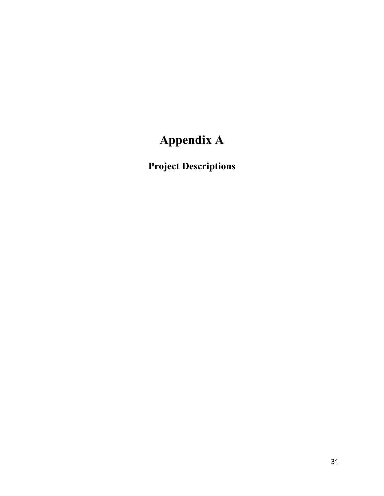# **Appendix A**

**Project Descriptions**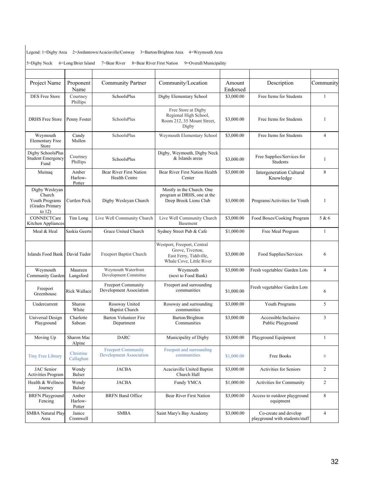Legend: 1=Digby Area 2=Jordantown/Acaciaville/Conway 3=Barton/Brighton Area 4=Weymouth Area

|  |  |  | 5=Digby Neck 6=Long/Brier Island 7=Bear River 8=Bear River First Nation 9=Overall/Municipality |  |
|--|--|--|------------------------------------------------------------------------------------------------|--|
|--|--|--|------------------------------------------------------------------------------------------------|--|

| Project Name                                                              | Proponent<br>Name          | Community Partner                                           | Community/Location                                                                                    | Amount<br>Endorsed | Description                                             | Community      |
|---------------------------------------------------------------------------|----------------------------|-------------------------------------------------------------|-------------------------------------------------------------------------------------------------------|--------------------|---------------------------------------------------------|----------------|
| DES Free Store                                                            | Courtney<br>Phillips       | SchoolsPlus                                                 | Digby Elementary School                                                                               | \$3,000.00         | Free Items for Students                                 | 1              |
| <b>DRHS Free Store</b>                                                    | Penny Foster               | SchoolsPlus                                                 | Free Store at Digby<br>Regional High School,<br>Room 212, 35 Mount Street,<br>Digby                   | \$3,000.00         | Free Items for Students                                 | 1              |
| Weymouth<br><b>Elementary Free</b><br>Store                               | Candy<br>Mullen            | SchoolsPlus                                                 | Weymouth Elementary School                                                                            | \$3,000.00         | Free Items for Students                                 | $\overline{4}$ |
| Digby SchoolsPlus<br><b>Student Emergency</b><br>Fund                     | Courtney<br>Phillips       | <b>SchoolsPlus</b>                                          | Digby, Weymouth, Digby Neck<br>& Islands areas                                                        | \$3,000.00         | Free Supplies/Services for<br>Students                  | $\mathbf{1}$   |
| Muinaq                                                                    | Amber<br>Harlow-<br>Potter | Bear River First Nation<br>Health Centre                    | Bear River First Nation Health<br>Center                                                              | \$3,000.00         | Intergeneration Cultural<br>Knowledge                   | 8              |
| Digby Wesleyan<br>Church<br>Youth Programs<br>(Grades Primary<br>to $12)$ | Curtlen Peck               | Digby Wesleyan Church                                       | Mostly in the Church. One<br>program at DRHS, one at the<br>Deep Brook Lions Club                     | \$3,000.00         | Programs/Activities for Youth                           | $\mathbf{1}$   |
| CONNECTCare<br>Kitchen Appliances                                         | Tim Long                   | Live Well Community Church                                  | Live Well Community Church<br>Basement                                                                | \$3,000.00         | Food Boxes/Cooking Program                              | 5 & 6          |
| Meal & Heal                                                               | Saskia Geerts              | Grace United Church                                         | Sydney Street Pub & Cafe                                                                              | \$1,000.00         | Free Meal Program                                       | $\mathbf{1}$   |
| Islands Food Bank                                                         | David Tudor                | Freeport Baptist Church                                     | Westport, Freeport, Central<br>Grove, Tiverton,<br>East Ferry, Tiddville,<br>Whale Cove, Little River | \$3,000.00         | Food Supplies/Services                                  | 6              |
| Weymouth<br>Community Garden                                              | Maureen<br>Langsford       | Weymouth Waterfront<br>Development Committee                | Weymouth<br>(next to Food Bank)                                                                       | \$3,000.00         | Fresh vegetables/ Garden Lots                           | $\overline{4}$ |
| Freeport<br>Greenhouse                                                    | Rick Wallace               | Freeport Community<br>Development Association               | Freeport and surrounding<br>communities                                                               | \$1,000.00         | Fresh vegetables/ Garden Lots                           | 6              |
| Undercurrent                                                              | Sharon<br>White            | Rossway United<br><b>Baptist Church</b>                     | Rossway and surrounding<br>communities                                                                | \$3,000.00         | Youth Programs                                          | 5              |
| Universal Design<br>Playground                                            | Charlotte<br>Sabean        | <b>Barton Volunteer Fire</b><br>Department                  | Barton/Brighton<br>Communities                                                                        | \$3,000.00         | Accessible/Inclusive<br>Public Playground               | 3              |
| Moving Up                                                                 | Sharon Mac<br>Alpine       | <b>DARC</b>                                                 | Municipality of Digby                                                                                 | \$3,000.00         | Playground Equipment                                    | $\mathbf{1}$   |
| <b>Tiny Free Library</b>                                                  | Christine<br>Callaghan     | <b>Freeport Community</b><br><b>Development Association</b> | Freeport and surrounding<br>communities                                                               | \$1,000.00         | Free Books                                              | 6              |
| JAC Senior<br><b>Activities Program</b>                                   | Wendy<br>Balser            | <b>JACBA</b>                                                | Acaciaville United Baptist<br>Church Hall                                                             | \$3,000.00         | Activities for Seniors                                  | 2              |
| Health & Wellness<br>Journey                                              | Wendy<br>Balser            | <b>JACBA</b>                                                | Fundy YMCA                                                                                            | \$1,000.00         | Activities for Community                                | $\overline{c}$ |
| <b>BRFN</b> Playground<br>Fencing                                         | Amber<br>Harlow-<br>Potter | <b>BRFN</b> Band Office                                     | Bear River First Nation                                                                               | \$3,000.00         | Access to outdoor playground<br>equipment               | $\,$ 8 $\,$    |
| <b>SMBA Natural Play</b><br>Area                                          | Janice<br>Cromwell         | SMBA                                                        | Saint Mary's Bay Academy                                                                              | \$3,000.00         | Co-create and develop<br>playground with students/staff | 4              |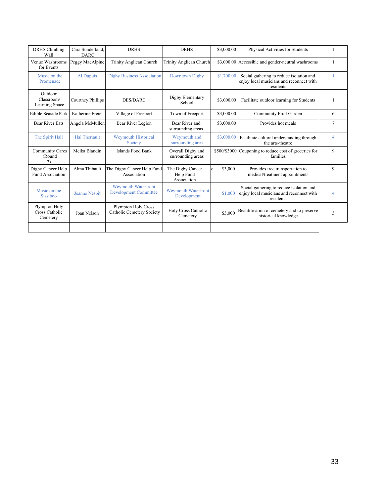| <b>DRHS</b> Climbing                        | Cara Sunderland.     | <b>DRHS</b>                                                | <b>DRHS</b>                                  | \$3,000.00 | Physical Activities for Students                                                                  |                |
|---------------------------------------------|----------------------|------------------------------------------------------------|----------------------------------------------|------------|---------------------------------------------------------------------------------------------------|----------------|
| Wall                                        | <b>DARC</b>          |                                                            |                                              |            |                                                                                                   |                |
| Venue Washrooms<br>for Events               | Peggy MacAlpine      | Trinity Anglican Church                                    | Trinity Anglican Church                      |            | \$3,000.00 Accessible and gender-neutral washrooms                                                | $\mathbf{1}$   |
| Music on the<br>Promenade                   | Al Dupuis            | <b>Digby Business Association</b>                          | Downtown Digby                               | \$1,700.00 | Social gathering to reduce isolation and<br>enjoy local musicians and reconnect with<br>residents |                |
| Outdoor<br>Classroom/<br>Learning Space     | Courtney Phillips    | <b>DES/DARC</b>                                            | Digby Elementary<br>School                   | \$3,000.00 | Facilitate outdoor learning for Students                                                          |                |
| Edible Seaside Park                         | Katherine Freiel     | Village of Freeport                                        | Town of Freeport                             | \$3,000.00 | Community Fruit Garden                                                                            | 6              |
| Bear River Eats                             | Angela McMullen      | Bear River Legion                                          | Bear River and<br>surrounding areas          | \$3,000.00 | Provides hot meals                                                                                | $\overline{7}$ |
| The Spirit Hall                             | <b>Hal Theriault</b> | <b>Weymouth Historical</b><br>Society                      | Weymouth and<br>surrounding area             | \$3,000.00 | Facilitate cultural understanding through<br>the arts-theatre                                     | $\overline{4}$ |
| <b>Community Cares</b><br>(Round<br>2)      | Meika Blandin        | Islands Food Bank                                          | Overall Digby and<br>surrounding areas       |            | \$500/\$3000 Couponing to reduce cost of groceries for<br>families                                | $\mathbf{Q}$   |
| Digby Cancer Help<br>Fund Association       | Alma Thibault        | The Digby Cancer Help Fund<br>Association                  | The Digby Cancer<br>Help Fund<br>Association | \$3,000    | Provides free transportation to<br>medical/treatment appointments                                 | $\mathbf{Q}$   |
| Music on the<br>Sissiboo                    | <b>Jeanne Nesbit</b> | <b>Weymouth Waterfront</b><br><b>Development Committee</b> | <b>Weymouth Waterfront</b><br>Development    | \$1,000    | Social gathering to reduce isolation and<br>enjoy local musicians and reconnect with<br>residents | 4              |
| Plympton Holy<br>Cross Catholic<br>Cemetery | Joan Nelson          | Plympton Holy Cross<br>Catholic Cemetery Society           | Holy Cross Catholic<br>Cemetery              | \$3,000    | Beautification of cemetery and to preserve<br>historical knowledge                                | 3              |
|                                             |                      |                                                            |                                              |            |                                                                                                   |                |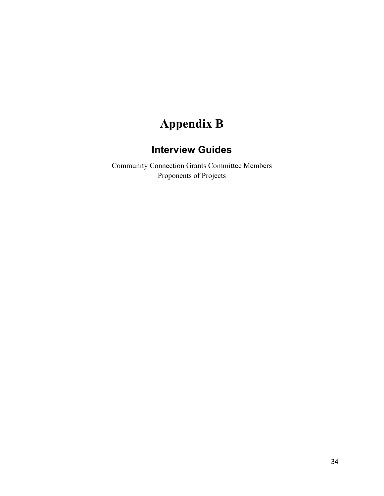## **Appendix B**

## **Interview Guides**

Community Connection Grants Committee Members Proponents of Projects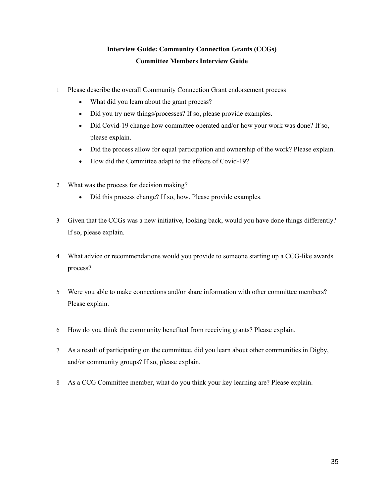#### **Interview Guide: Community Connection Grants (CCGs) Committee Members Interview Guide**

- 1 Please describe the overall Community Connection Grant endorsement process
	- What did you learn about the grant process?
	- Did you try new things/processes? If so, please provide examples.
	- Did Covid-19 change how committee operated and/or how your work was done? If so, please explain.
	- Did the process allow for equal participation and ownership of the work? Please explain.
	- How did the Committee adapt to the effects of Covid-19?
- 2 What was the process for decision making?
	- Did this process change? If so, how. Please provide examples.
- 3 Given that the CCGs was a new initiative, looking back, would you have done things differently? If so, please explain.
- 4 What advice or recommendations would you provide to someone starting up a CCG-like awards process?
- 5 Were you able to make connections and/or share information with other committee members? Please explain.
- 6 How do you think the community benefited from receiving grants? Please explain.
- 7 As a result of participating on the committee, did you learn about other communities in Digby, and/or community groups? If so, please explain.
- 8 As a CCG Committee member, what do you think your key learning are? Please explain.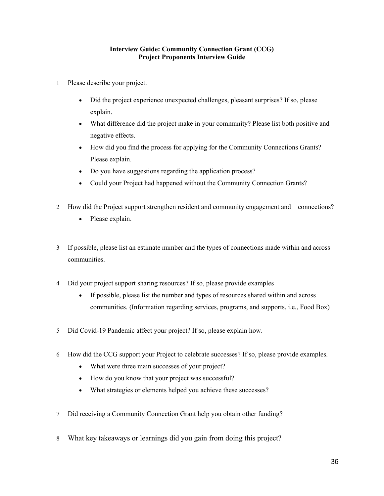#### **Interview Guide: Community Connection Grant (CCG) Project Proponents Interview Guide**

- 1 Please describe your project.
	- Did the project experience unexpected challenges, pleasant surprises? If so, please explain.
	- What difference did the project make in your community? Please list both positive and negative effects.
	- How did you find the process for applying for the Community Connections Grants? Please explain.
	- Do you have suggestions regarding the application process?
	- Could your Project had happened without the Community Connection Grants?
- 2 How did the Project support strengthen resident and community engagement and connections?
	- Please explain.
- 3 If possible, please list an estimate number and the types of connections made within and across communities.
- 4 Did your project support sharing resources? If so, please provide examples
	- If possible, please list the number and types of resources shared within and across communities. (Information regarding services, programs, and supports, i.e., Food Box)
- 5 Did Covid-19 Pandemic affect your project? If so, please explain how.
- 6 How did the CCG support your Project to celebrate successes? If so, please provide examples.
	- What were three main successes of your project?
	- How do you know that your project was successful?
	- What strategies or elements helped you achieve these successes?
- 7 Did receiving a Community Connection Grant help you obtain other funding?
- 8 What key takeaways or learnings did you gain from doing this project?